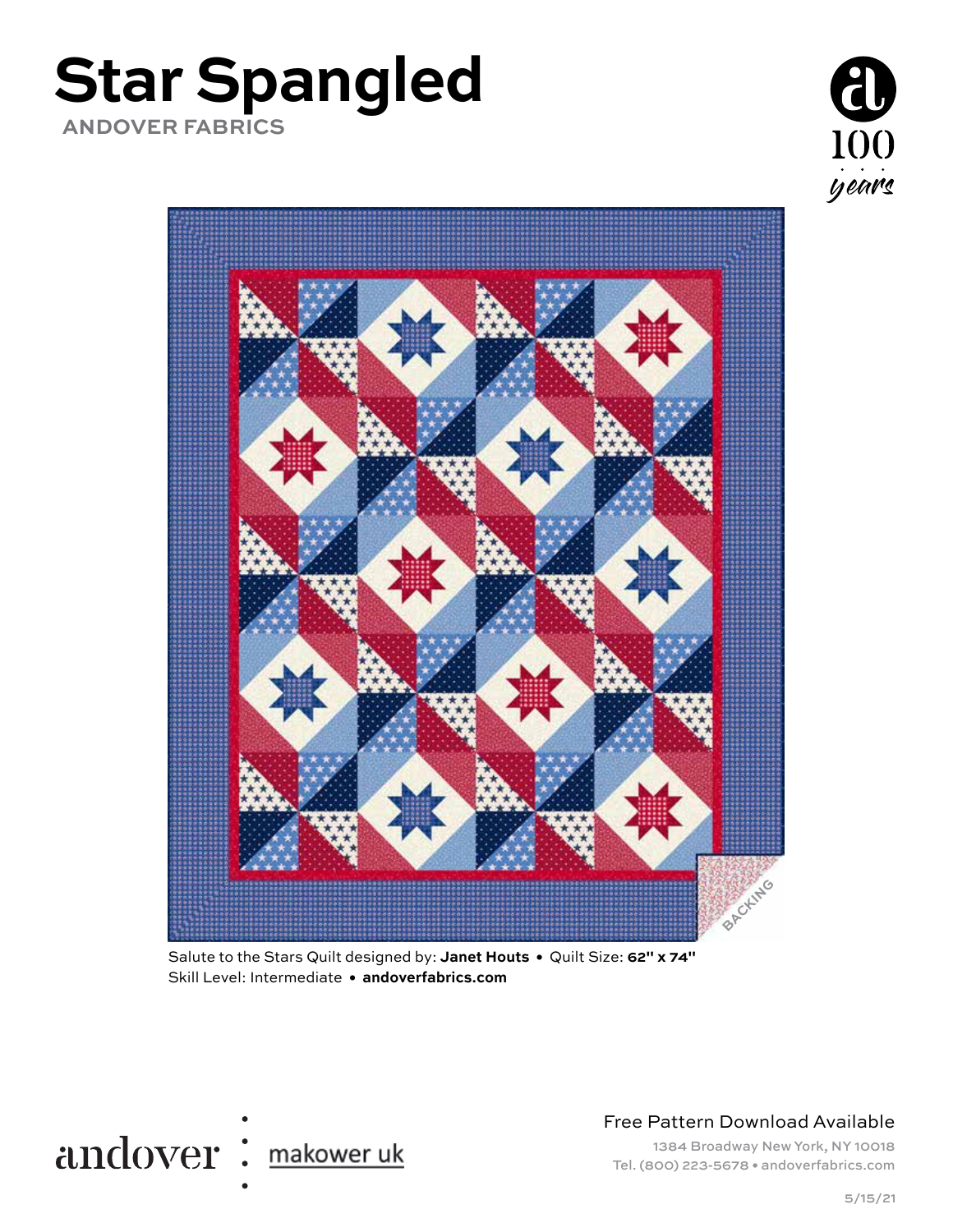





Salute to the Stars Quilt designed by: **Janet Houts •** Quilt Size: **62" x 74"** Skill Level: Intermediate **• andoverfabrics.com**



Free Pattern Download Available

1384 Broadway New York, NY 10018 Tel. (800) 223-5678 • andoverfabrics.com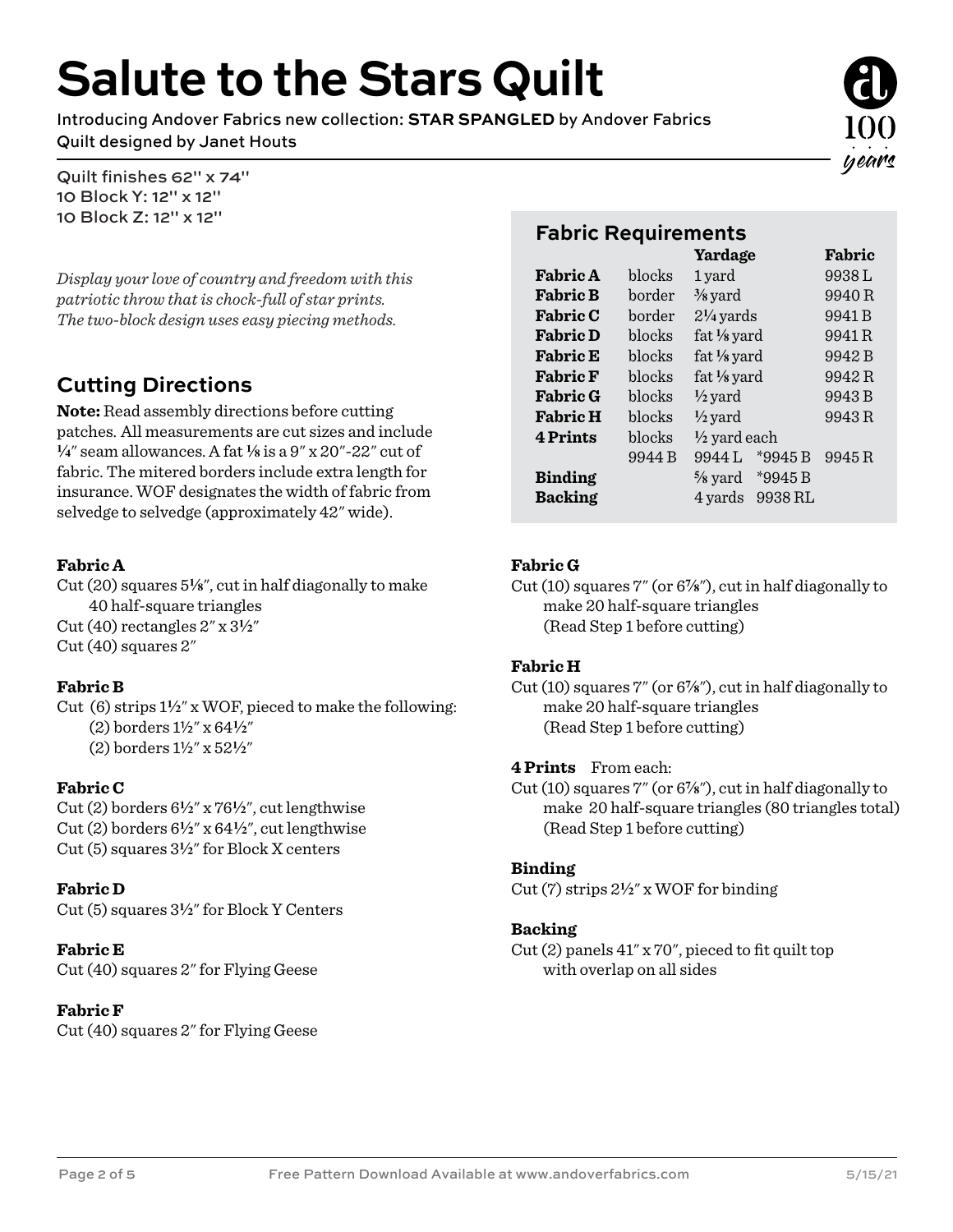# **Salute to the Stars Quilt**

Introducing Andover Fabrics new collection: **STAR SPANGLED** by Andover Fabrics Quilt designed by Janet Houts

Quilt finishes 62" x 74" 10 Block Y: 12" x 12" 10 Block Z: 12" x 12"

*Display your love of country and freedom with this patriotic throw that is chock-full of star prints. The two-block design uses easy piecing methods.*

# **Cutting Directions**

**Note:** Read assembly directions before cutting patches. All measurements are cut sizes and include **4**" seam allowances. A fat **8** is a 9" x 20"-22" cut of fabric. The mitered borders include extra length for insurance. WOF designates the width of fabric from selvedge to selvedge (approximately 42" wide).

#### **Fabric A**

Cut (20) squares 5**8**", cut in half diagonally to make 40 half-square triangles Cut (40) rectangles 2" x 3**2**" Cut (40) squares 2"

#### **Fabric B**

Cut (6) strips 1**2**" x WOF, pieced to make the following: (2) borders 1½" x 64**2**"

(2) borders 1½" x 52**2**"

#### **Fabric C**

Cut (2) borders 6**2**" x 76**2**", cut lengthwise Cut (2) borders 6**2**" x 64**2**", cut lengthwise Cut (5) squares 3**2**" for Block X centers

#### **Fabric D**

Cut (5) squares 3**2**" for Block Y Centers

**Fabric E** Cut (40) squares 2" for Flying Geese

#### **Fabric F**

Cut (40) squares 2" for Flying Geese

### **Fabric Requirements**

|                 |        | Yardage                       | Fabric |
|-----------------|--------|-------------------------------|--------|
| <b>Fabric A</b> | blocks | 1 yard                        | 9938L  |
| <b>Fabric B</b> | border | $\frac{3}{8}$ yard            | 9940R  |
| <b>Fabric C</b> | border | $2\frac{1}{4}$ yards          | 9941 B |
| <b>Fabric D</b> | blocks | fat $\frac{1}{8}$ yard        | 9941R  |
| <b>Fabric E</b> | blocks | fat $\frac{1}{8}$ yard        | 9942B  |
| <b>Fabric F</b> | blocks | fat $\frac{1}{8}$ yard        | 9942R  |
| <b>Fabric G</b> | blocks | $\frac{1}{2}$ yard            | 9943 B |
| <b>Fabric H</b> | blocks | $\frac{1}{2}$ yard            | 9943R  |
| <b>4 Prints</b> | blocks | $\frac{1}{2}$ yard each       |        |
|                 | 9944 B | $*9945B$<br>9944L             | 9945R  |
| <b>Binding</b>  |        | *9945 B<br>$\frac{5}{8}$ yard |        |
| <b>Backing</b>  |        | 9938 RL<br>4 yards            |        |

#### **Fabric G**

Cut (10) squares 7" (or 6<sup>7</sup>/<sub>8</sub>"), cut in half diagonally to make 20 half-square triangles (Read Step 1 before cutting)

#### **Fabric H**

Cut (10) squares 7" (or 6<sup>7</sup>/<sub>8</sub>"), cut in half diagonally to make 20 half-square triangles (Read Step 1 before cutting)

#### **4 Prints** From each:

Cut (10) squares 7" (or 6<sup>7</sup>/<sub>8</sub>"), cut in half diagonally to make 20 half-square triangles (80 triangles total) (Read Step 1 before cutting)

#### **Binding**

Cut (7) strips 2**2**" x WOF for binding

#### **Backing**

Cut (2) panels 41" x 70", pieced to fit quilt top with overlap on all sides

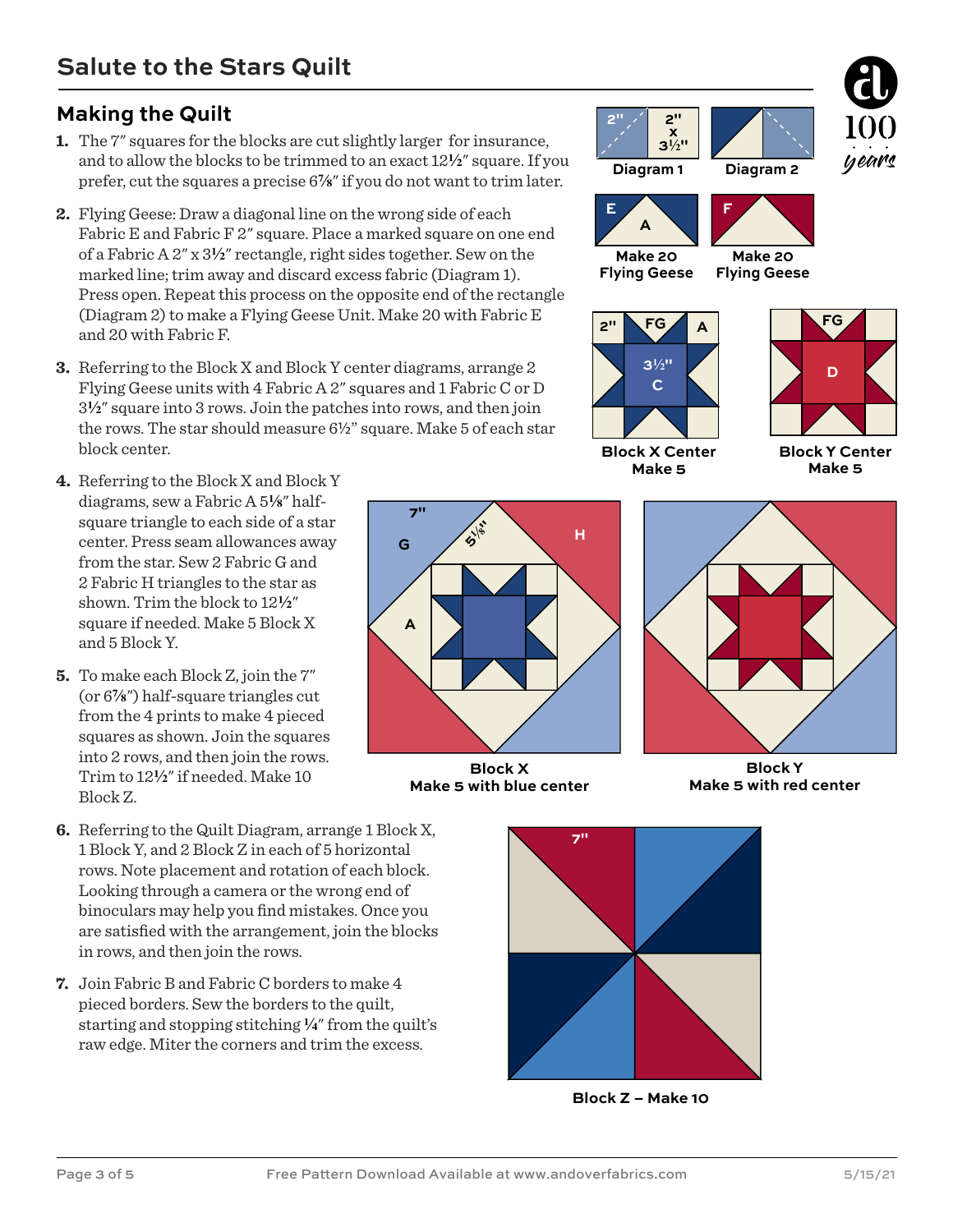## **Making the Quilt**

- **1.** The 7" squares for the blocks are cut slightly larger for insurance, and to allow the blocks to be trimmed to an exact 12**2**" square. If you prefer, cut the squares a precise  $6\frac{7}{8}$ " if you do not want to trim later.
- **2.** Flying Geese: Draw a diagonal line on the wrong side of each Fabric E and Fabric F 2" square. Place a marked square on one end of a Fabric A 2" x 3**2**" rectangle, right sides together. Sew on the marked line; trim away and discard excess fabric (Diagram 1). Press open. Repeat this process on the opposite end of the rectangle (Diagram 2) to make a Flying Geese Unit. Make 20 with Fabric E and 20 with Fabric F.
- **3.** Referring to the Block X and Block Y center diagrams, arrange 2 Flying Geese units with 4 Fabric A 2" squares and 1 Fabric C or D 3**2**" square into 3 rows. Join the patches into rows, and then join the rows. The star should measure 6½" square. Make 5 of each star block center.
- **4.** Referring to the Block X and Block Y diagrams, sew a Fabric A 5<sup>1</sup>/<sub>8</sub>" halfsquare triangle to each side of a star center. Press seam allowances away from the star. Sew 2 Fabric G and 2 Fabric H triangles to the star as shown. Trim the block to 12**2**" square if needed. Make 5 Block X and 5 Block Y.
- **5.** To make each Block Z, join the 7" (or  $6\frac{7}{8}$ ") half-square triangles cut from the 4 prints to make 4 pieced squares as shown. Join the squares into 2 rows, and then join the rows. Trim to 12**2**" if needed. Make 10 Block Z.
- **6.** Referring to the Quilt Diagram, arrange 1 Block X, 1 Block Y, and 2 Block Z in each of 5 horizontal rows. Note placement and rotation of each block. Looking through a camera or the wrong end of binoculars may help you find mistakes. Once you are satisfied with the arrangement, join the blocks in rows, and then join the rows.
- **7.** Join Fabric B and Fabric C borders to make 4 pieced borders. Sew the borders to the quilt, starting and stopping stitching **4**" from the quilt's raw edge. Miter the corners and trim the excess.



**7"**

**Block X Make 5 with blue center**





**2" 2"**

**x**



**Block X Center Make 5**

**Block Y Center Make 5**



**Block Y Make 5 with red center**



**Block Z – Make 10**

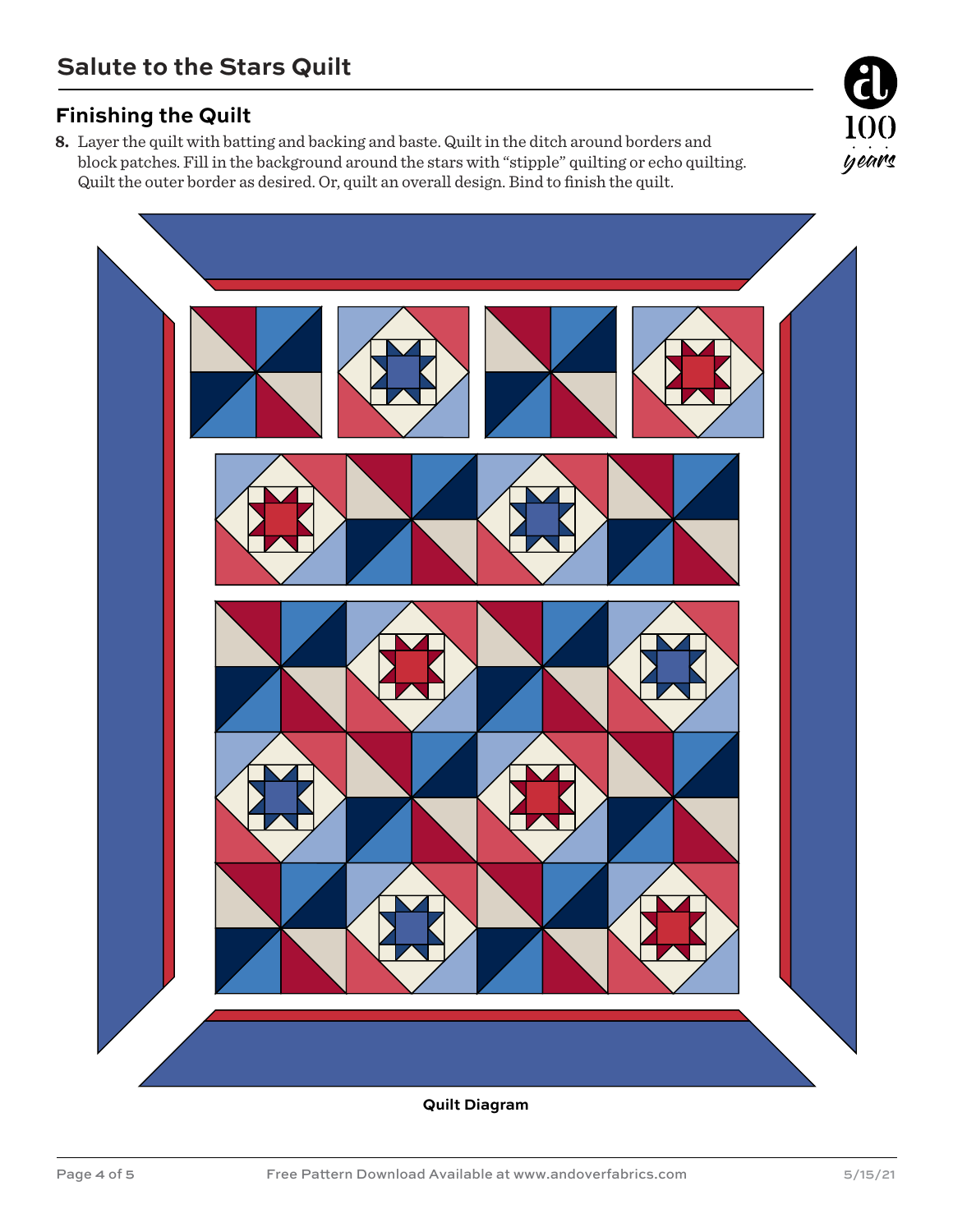## **Finishing the Quilt**

**8.** Layer the quilt with batting and backing and baste. Quilt in the ditch around borders and block patches. Fill in the background around the stars with "stipple" quilting or echo quilting. Quilt the outer border as desired. Or, quilt an overall design. Bind to finish the quilt.





**Quilt Diagram**